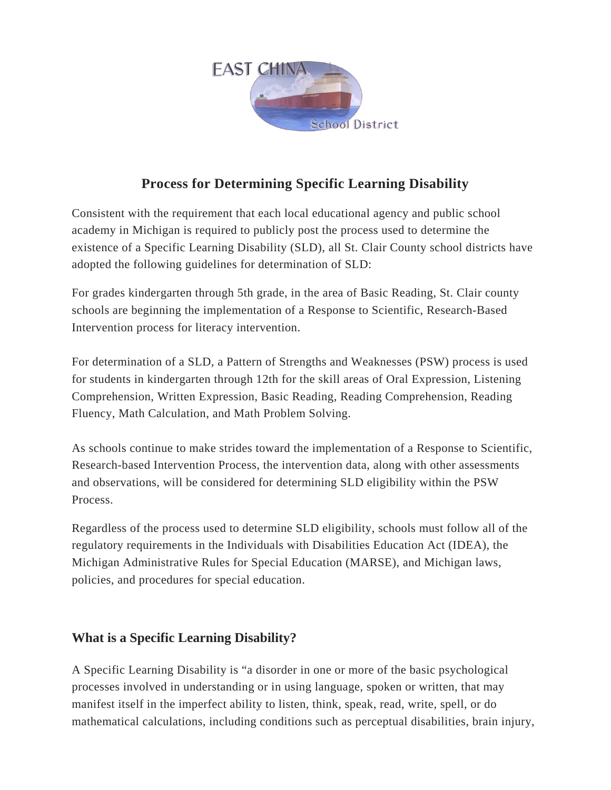

## **Process for Determining Specific Learning Disability**

Consistent with the requirement that each local educational agency and public school academy in Michigan is required to publicly post the process used to determine the existence of a Specific Learning Disability (SLD), all St. Clair County school districts have adopted the following guidelines for determination of SLD:

For grades kindergarten through 5th grade, in the area of Basic Reading, St. Clair county schools are beginning the implementation of a Response to Scientific, Research-Based Intervention process for literacy intervention.

For determination of a SLD, a Pattern of Strengths and Weaknesses (PSW) process is used for students in kindergarten through 12th for the skill areas of Oral Expression, Listening Comprehension, Written Expression, Basic Reading, Reading Comprehension, Reading Fluency, Math Calculation, and Math Problem Solving.

As schools continue to make strides toward the implementation of a Response to Scientific, Research-based Intervention Process, the intervention data, along with other assessments and observations, will be considered for determining SLD eligibility within the PSW Process.

Regardless of the process used to determine SLD eligibility, schools must follow all of the regulatory requirements in the Individuals with Disabilities Education Act (IDEA), the Michigan Administrative Rules for Special Education (MARSE), and Michigan laws, policies, and procedures for special education.

## **What is a Specific Learning Disability?**

A Specific Learning Disability is "a disorder in one or more of the basic psychological processes involved in understanding or in using language, spoken or written, that may manifest itself in the imperfect ability to listen, think, speak, read, write, spell, or do mathematical calculations, including conditions such as perceptual disabilities, brain injury,